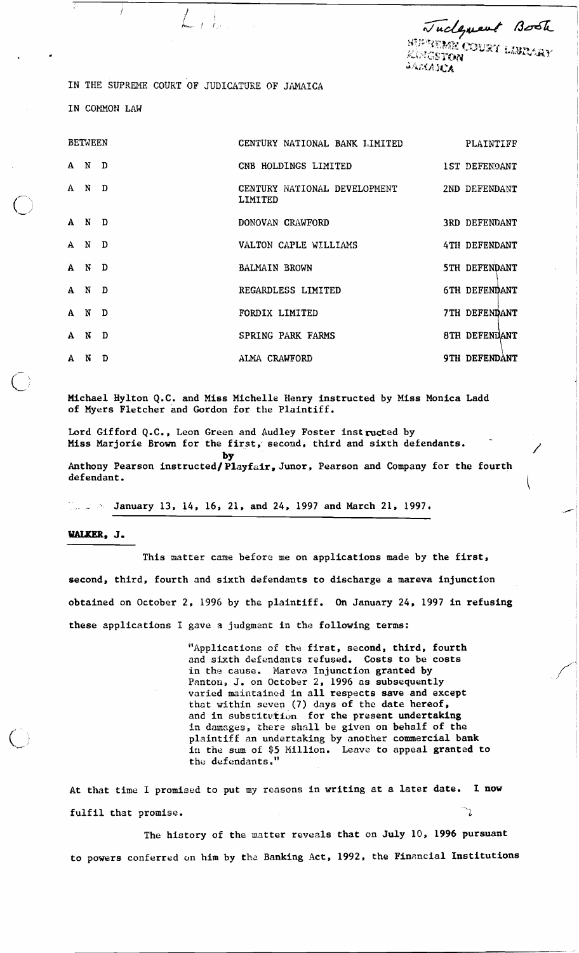Tuckgreat Book **SUPERBIR COURT LIBRARY** KAMGSTON **JAMAICA** 

 $\mathscr{C}$ 

I

IN THE SUPREME COURT OF JUDICATURE OF JAMAICA

 $\pm\frac{1}{L^2}$ 

IN COMMON LAW

| <b>BETWEEN</b> |       |   | CENTURY NATIONAL BANK LIMITED                         | PLAINTIFF     |
|----------------|-------|---|-------------------------------------------------------|---------------|
|                | A N D |   | CNB HOLDINGS LIMITED 1ST DEFENDANT                    |               |
|                | A N D |   | CENTURY NATIONAL DEVELOPMENT 2ND DEFENDANT<br>LIMITED |               |
|                | A N D |   | DONOVAN CRAWFORD                                      | 3RD DEFENDANT |
|                | A N D |   | VALTON CAPLE WILLIAMS                                 | 4TH DEFENDANT |
| A N            |       | D | <b>BALMAIN BROWN</b>                                  | 5TH DEFENDANT |
|                | A N   | D | REGARDLESS LIMITED                                    | 6TH DEFENDANT |
| A N            |       | D | FORDIX LIMITED                                        | 7TH DEFENDANT |
|                | A N   | D | SPRING PARK FARMS                                     | 8TH DEFENDANT |
|                | A N   | D | ALMA CRAWFORD                                         | 9TH DEFENDANT |

Michael Hylton Q.C. and Miss Michelle Henry instructed by Miss Monica Ladd of Myers Fletcher and Gordon for the Plaintiff.

Lord Gifford Q.C., Leon Green and Audley Foster instructed by Miss Marjorie Brown for the first, second, third and sixth defendants.

Anthony Pearson instructed/Playfair, Junor, Pearson and Company for the fourth defendant. defendant.

 $1.1 \text{ N}$  January 13, 14, 16, 21, and 24, 1997 and March 21, 1997.

**by** 

WALKER, J.

 $\mathbf{r}$ **Lk,/** 

> This matter came before me on applications made by the first, second, third, fourth and sixth defendants to discharge a mareva injunction obtained on October 2, 1996 by the plaintiff. On January 24, 1997 in refusing these applications I gave a judgment in the following terms:

> > "Applications of the first, second, third, fourth and sixth defendants refused. Costs to be costs in the cause. Mareva Injunction granted by Panton, J. on October 2, 1996 as subsequently varied maintainad in all respects save and except that within scven (7) days of the date hereof, and in substitution for the present undertaking in damages, there shall be given on behalf of the plaintiff an undertaking by another commercial bank in the sum of \$5 Million. Leave to appeal grantad to the defendants.

At that time I promised to put my reasons in writing at a later date. I now fulfil that promise.

The history of the matter reveals that on July 10, 1996 pursuant to powers conferred on him by the Banking Act, 1992, the Financial Institutions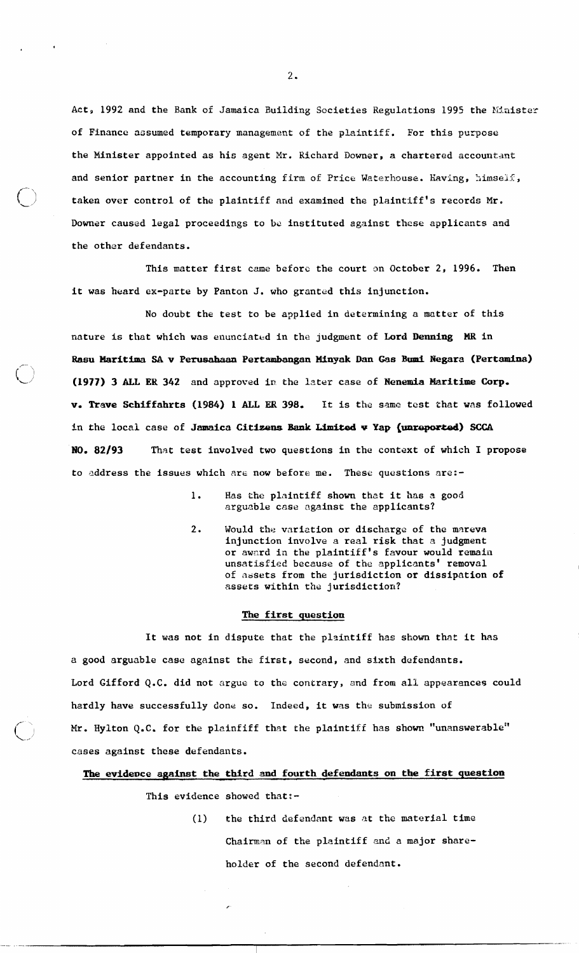Act, 1992 and the Bank of Jamaica Building Societies Regulations 1995 the Minister of Finance assumed temporary management of the plaintiff. For this purpose the Minister appointed as his agent Mr. Richard Downer, a chartered accountant and senior partner in the accounting firm of Price Waterhouse. Having, himself, taken over control of the plaintiff and examined the plaintiff's records Mr. Downer caused legal proceedings to be instituted against these applicants and the other defendants.

 $\bigcirc$ 

This matter first came before the court on October 2, 1996. Then it was heard ex-perte by Panton J. who granted this injunction.

No doubt the test to be applied in determining a matter of this nature is that which was enunciated in the judgment of Lord Denning MR in r- **Rasu Haritima SA v Perusdman Pertambangan Minyak Dan Gas Bun13 Negara (~ertamina)**  [\_I **(1977) 3 ALL ER 342** and approved in the Inter case of **Henemia Maritime Corp, v. Trave Schiffahrts (1984) 1 ALL ER 398.** It is the same test that was followed in the local case of **Jamaica Cithns Bank Uted v Yap {unreported) SCCA NO. 82/93** That test involved two questions in the context of which I propose to address the issues which are now before me. These questions are:-

- 1. Has che plaintiff shown that it has a good arguable **case** against the applicants?
- **2.** Would the variation or discharge of the mareva injunction involve a real risk that **R** judgment or award in the plaintiff's favour would remain unsatisfied because of the applicants' removal of assets from the jurisdiction or dissipation of assets within the jurisdiction?

## **The first question**

It was not in dispute that the plsintiff has shown that it has a good arguable case against the first, second, and sixth defendants. Lord Gifford **Q.C.** did not argue to the contrary, and from all appearances could hardly have successfully done so. Indeed, it was the submission of Mr. Hylton Q.C. for the plainfiff that the plaintiff has shown "unanswerable" cases against these defendants.

The evidence against the third and fourth defendants on the first question

This evidence showed that:-

(1) the third defendant was at the material time Chairman of the plaintiff and a major shareholder of the second defendant.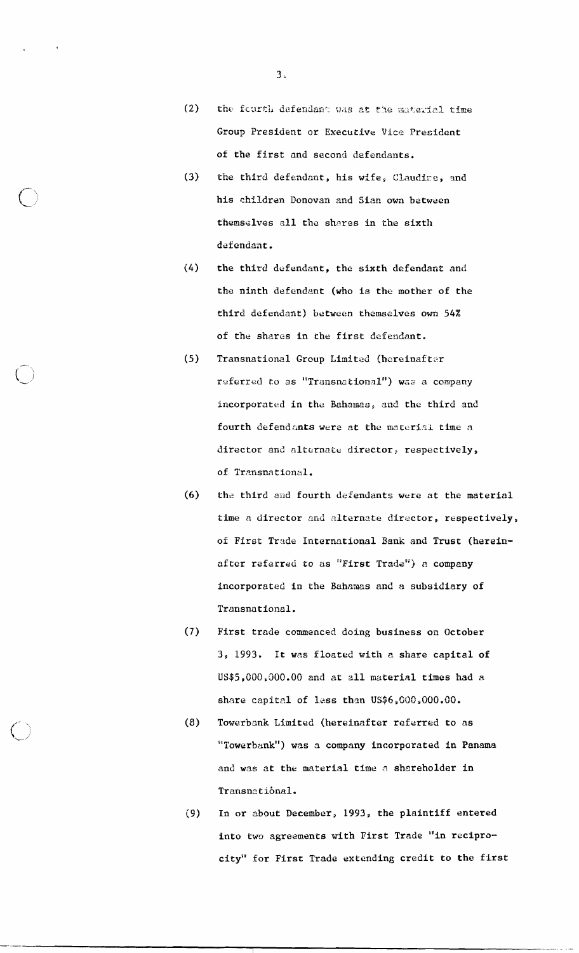- $(2)$ the fcurth defendant was at the material time **Group** President or Executive Vice President of the first and second defendants.
- $(3)$ the third defendant, his wife, Claudire, and his children Donovan and Sian own between themselves all the shares in the sixth defendant.
- $(4)$ the third defendant, the sixth defendant and the ninth defendant (who is the mother of the third defendant) between themselves own 54% of the shares in the first defendant.
- Transnational Group Limited (hereinafter  $(5)$ referred to as "Transnational") was a company incorporated in the Bahamas, and the third and fourth defendants were at the material time a director and alternate director, respectively, of Transnational.
- the third and fourth defendants were at the material  $(6)$ time a director and alternate director, respectively, of First Trade International Bank and Trust (hereinafter referred to as "First Trade") a company incorporated in the Bahamas and a subsidiary of Transpational.
- $(7)$ First trade conmenced doing business on October 3, 1993. It was floated with a share capital of US\$5,000,000.00 and at all material times had a share capital of less than  $\text{US$6,000,000.00.}$
- Towerbank Limited (hereinafter referred to as  $(8)$ **Ylm** lowerbank") was **n** company incorporated in Panama and was at the material time a shareholder in Transnational.
- In or about December, 1993, the plaintiff entered  $(9)$ into two agreements with First Trade "in reciprocity" for First Trade extending credit to the first

 $3<sub>1</sub>$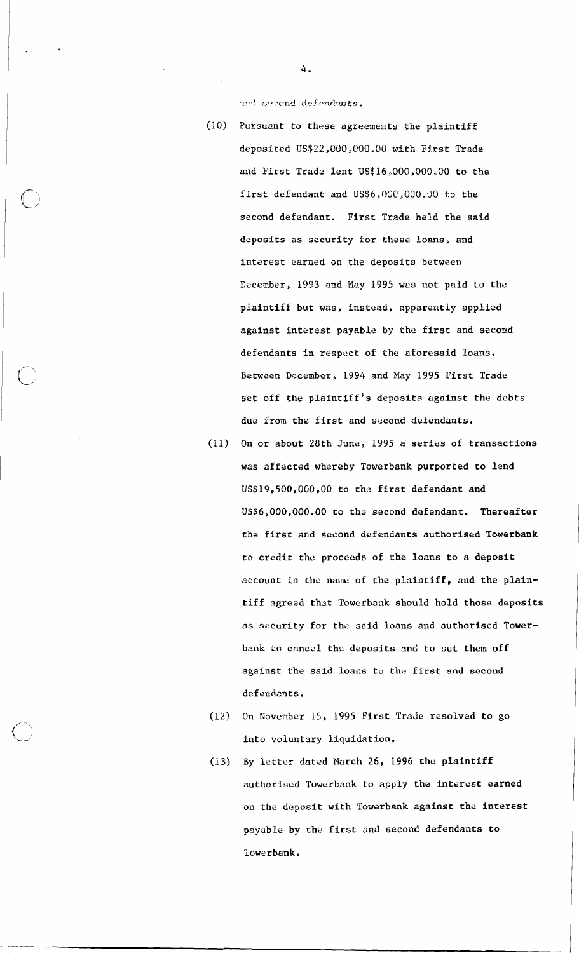and second defendants.

- $(10)$  Pursuant to these agreements the plaintiff deposited **LJS\$22,000,000.00** with First Trade and First Trade lent US\$16,000,000,00 to **the**  first defendant and US\$6,000,000.00 to the second defendant. First Trade held the said deposits as security for these loans, and interest earned on the deposits between Becember, 1993 and *May* 1995 was not paid to the plaintiff but was, instead, apparently applied against interest payable by the first and second defendants in respuct of the aforesaid loans. Between December, 1994 and May 1995 First Trade set off the plaintiff's deposits against the debts due from the first and second defendants.
- $(11)$  On or about 28th June, 1995 a series of transactions was affected whereby Towerbank purported to lend US\$19,500,000,00 to the first defendant and US\$6,000,000.00 to the second defendant. Thereafter the first and second defendants authorised Towerbank to credit the proceeds of the loans to a deposit account in the **name** of the plaintiff, and the plaintiff agreed that Towerbonk should hold those deposits as security for the said loans and authorised Towerbank to cancel the deposits and to set them off against the said loans to the first and second defendants.
- (12) On November 15, 1995 First Trade resolved to go into voluntary liquidation.
- (13) **By** letter dated March 26, 1996 the plaintiff authorised Towerbank to apply the interest earned on the deposit with Towerbank against the interest payable by the first and second defendants to Towerbank.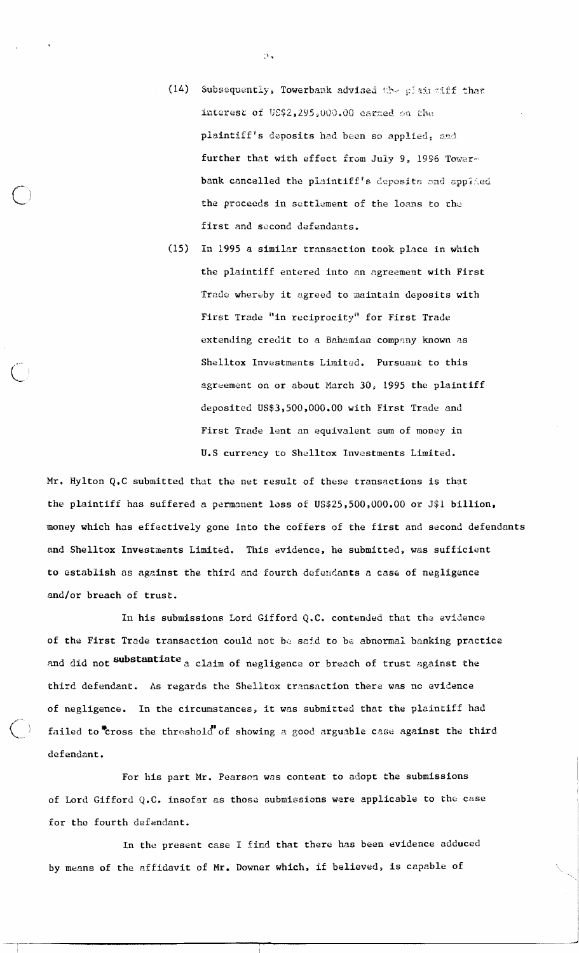- (14) Subsequently, Towerbank advised the plaintiff that interest of US\$2,295,000.00 earned on the plaintiff's deposits had been so applied, and further that with effect from July 9, 1996 Towerbank cancelled the plaintiff's deposits and applied the proceeds in settlement of the loans to the first and second defendants.
- (15) In 1995 a similar transaction took place in which the plaintiff entered into an agreement with First Trade whereby it agreed to maintain deposits with First Trade "in reciprocity" for First Trade extending credit to a Bahamian company known as Shelltox Investments Limited. Pursuant to this agreement on or about March 30, 1995 the plaintiff deposited US\$3,500,000.00 with First Trade and First Trade lent an equivalent sum of money in U.S currency to Shelltox Investments Limited.

Mr. Hylton Q.C submitted that the net result of these transactions is that the plaintiff has suffered a permanent loss of US\$25,500,000.00 or J\$1 billion, money which has effectively gone into the coffers of the first and second defendants and Shelltox Investments Limited. This evidence, he submitted, was sufficient to establish as against the third and fourth defendants a case of negligence and/or breach of trust.

In his submissions Lord Gifford Q.C. contended that the evidence of the First Trade transaction could not be said to be abnormal banking practice and did not substantiate a claim of negligence or breach of trust against the third defendant. As regards the Shelltox transaction there was no evidence of negligence. In the circumstances, it was submitted that the plaintiff had failed to cross the threshold of showing a good arguable case against the third defendant.

For his part Mr. Pearson was content to adopt the submissions of Lord Gifford Q.C. insofar as those submissions were applicable to the case for the fourth defendant.

In the present case I find that there has been evidence adduced by means of the affidavit of Mr. Downer which, if believed, is capable of

 $\tilde{\mathbf{N}}$  .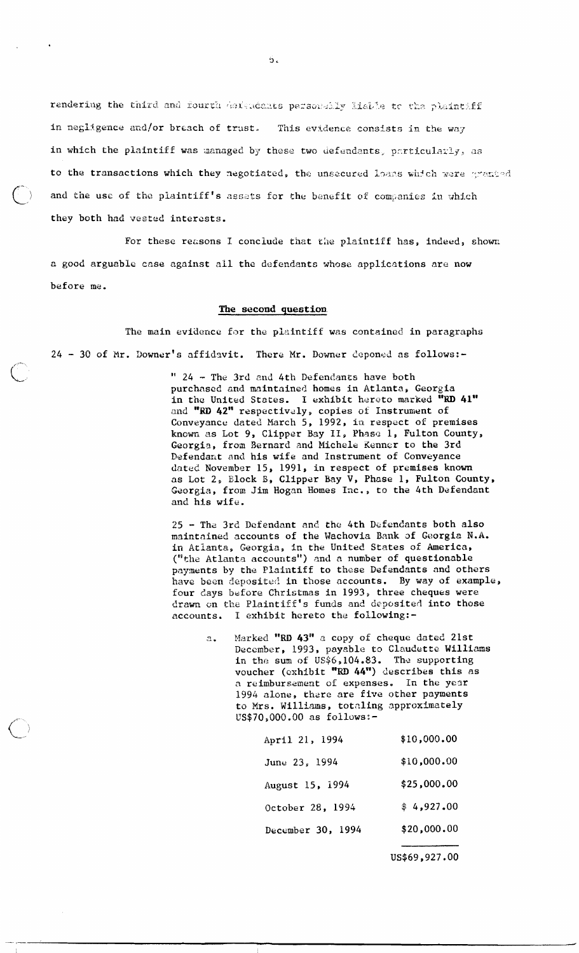rendering the third and fourth derendents personally liable to the plaintiff in negligence and/or breach of trust. This evidence consists in the way in which the plaintiff was managed by these two defendants, particularly, as to the transactions which they negotiated, the unsecured loans which were granted and the use of the plaintiff's assets for the benefit of companies in which they both had vested interests.

For these reasons I conclude that the plaintiff has, indeed, shown a good arguable case against all the defendants whose applications are now before me.

## The second question

The main evidence for the plaintiff was contained in paragraphs 24 - 30 of Mr. Downer's affidavit. There Mr. Downer deponed as follows:-

> " 24 - The 3rd and 4th Defendants have both purchased and maintained homes in Atlanta, Georgia in the United States. I exhibit hereto marked "RD 41" and "RD 42" respectively, copies of Instrument of Conveyance dated March 5, 1992, in respect of premises known as Lot 9, Clipper Bay II, Phase 1, Fulton County, Georgia, from Bernard and Michele Kenner to the 3rd Defendant and his wife and Instrument of Conveyance dated November 15, 1991, in respect of premises known as Lot 2, Block B, Clipper Bay V, Phase 1, Fulton County, Georgia, from Jim Hogan Homes Inc., to the 4th Defendant and his wife.

25 - The 3rd Defendant and the 4th Defendants both also maintained accounts of the Wachovia Bank of Georgia N.A. in Atlanta, Georgia, in the United States of America, ("the Atlanta accounts") and a number of questionable payments by the Plaintiff to these Defendants and others have been deposited in those accounts. By way of example, four days before Christmas in 1993, three cheques were drawn on the Plaintiff's funds and deposited into those accounts. I exhibit hereto the following:-

> Marked "RD 43" a copy of cheque dated 21st  $a.$ December, 1993, payable to Claudette Williams in the sum of US\$6,104.83. The supporting voucher (exhibit "RD 44") describes this as a reimbursement of expenses. In the year 1994 alone, there are five other payments to Mrs. Williams, totaling approximately US\$70,000.00 as follows:-

| April 21, 1994    | \$10,000.00 |
|-------------------|-------------|
| June 23, 1994     | \$10,000.00 |
| August 15, 1994   | \$25,000.00 |
| October 28, 1994  | \$4,927.00  |
| December 30, 1994 | \$20,000.00 |
|                   |             |

US\$69,927.00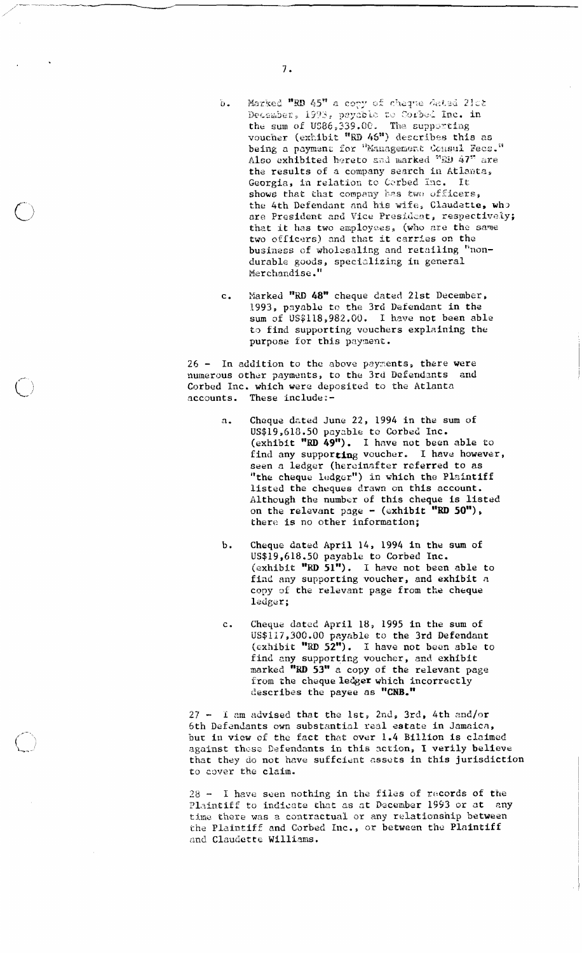- $\mathbb{F}_1$  . Marked "RD 45" a copy of cheque dated 21ct December, 1993, payable to Corbed Inc. in the sum of US86,339.00. The supporting<br>voucher (exhibit "RD 46") describes this as being a payment for "Management Consul Fecs." Also exhibited hereto and marked "RD 47" are the results of a company search in Atlanta, Georgia, in relation to Cerbed Inc. It shows that that company has two officers, the 4th Defendant and his wife, Claudette, who are President and Vice President, respectively; that it has two employees, (who are the same two officers) and that it carries on the business of wholesaling and retailing "nondurable goods, specializing in general Merchandise."
- Marked "RD 48" cheque dated 21st December,  $\mathbf{c}$ . 1993, payable to the 3rd Defendant in the sum of US\$118,982.00. I have not been able to find supporting vouchers explaining the purpose for this payment.

26 - In addition to the above payments, there were numerous other payments, to the 3rd Defendants and Corbed Inc. which were deposited to the Atlanta accounts. These include:-

- Cheque dated June 22, 1994 in the sum of  $\mathbf{a}$ . US\$19,618.50 payable to Corbed Inc. (exhibit "RD 49"). I have not been able to find any supporting voucher. I have however, seen a ledger (hereinafter referred to as "the cheque ledger") in which the Plaintiff<br>listed the cheques drawn on this account. Although the number of this cheque is listed on the relevant page -  $($ exhibit "RD 50"), there is no other information;
- Cheque dated April 14, 1994 in the sum of  $<sub>b</sub>$ .</sub> US\$19,618.50 payable to Corbed Inc. (exhibit "RD  $51$ "). I have not been able to find any supporting voucher, and exhibit a copy of the relevant page from the cheque ledger;
- Cheque dated April 18, 1995 in the sum of  $c<sub>a</sub>$ US\$117,300.00 payable to the 3rd Defendant (exhibit "RD 52"). I have not been able to find any supporting voucher, and exhibit marked "RD 53" a copy of the relevant page from the cheque ledger which incorrectly<br>describes the payee as "CNB."

 $27 -$  I am advised that the lst, 2nd, 3rd, 4th and/or 6th Defendants own substantial real estate in Jamaica, but in view of the fact that over 1.4 Billion is claimed against these Defendants in this action, I verily believe that they do not have suffcient assets in this jurisdiction to cover the claim.

28 - I have seen nothing in the files of records of the Plaintiff to indicate that as at December 1993 or at any time there was a contractual or any relationship between the Plaintiff and Corbed Inc., or between the Plaintiff and Claudette Williams.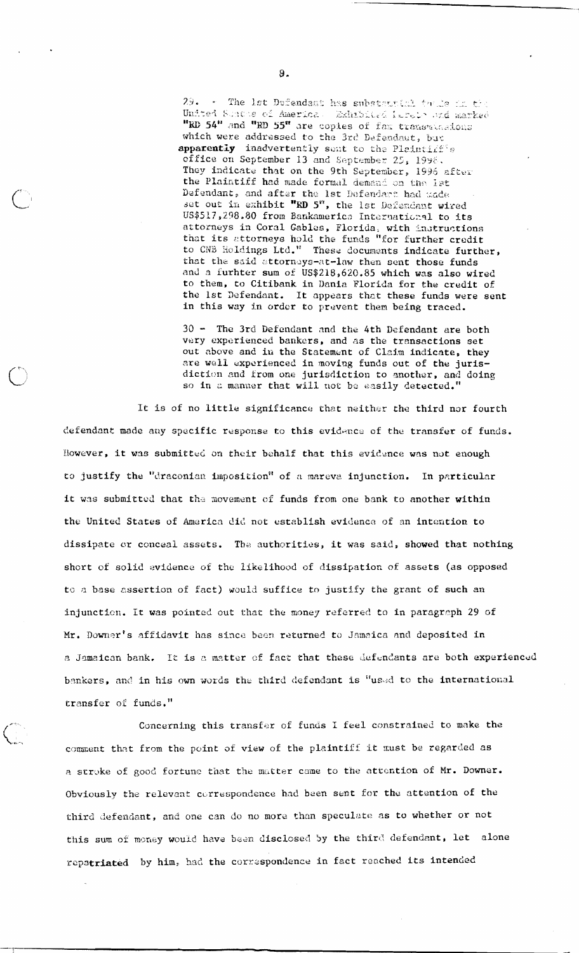- The lst Defendant has substantial to de in the United Susses of America. Exhabited lareto and marked "RD 54" and "RD 55" are copies of fax transmissions which were addressed to the 3rd Defendant, but apparently inadvertently sent to the Plaintiff's office on September 13 and September 25, 1998. They indicate that on the 9th September, 1996 after the Plaintiff had made formal demand on the lat Defendant, and after the 1st Defendant had made set out in exhibit "RD 5", the 1st Defendant wired US\$517,298.80 from Bankamerica International to its attorneys in Coral Gables, Florida, with instructions that its attorneys hold the funds "for further credit<br>to CNB Holdings Ltd." These documents indicate further, that the said attorneys-at-law then sent those funds and a furhter sum of US\$218,620.85 which was also wired to them, to Citibank in Dania Florida for the credit of the 1st Defendant. It appears that these funds were sent in this way in order to prevent them being traced.

30 - The 3rd Defendant and the 4th Defendant are both very experienced bankers, and as the transactions set out above and in the Statement of Claim indicate, they are well experienced in moving funds out of the jurisdiction and from one jurisdiction to another, and doing so in a manner that will not be easily detected."

It is of no little significance that neither the third nor fourth defendant made any specific response to this evidence of the transfer of funds. Rowever, it was submitted on their behalf that this evidence was not enough to justify the "draconian imposition" of a mareva injunction. In particular it was submitted that the movement of funds from one bank to another within the United States of America did not establish evidence of an intention to dissipate or conceal assets. The authorities, it was said, showed that nothing short of solid evidence of the likelihood of dissipation of assets (as opposed to a base assertion of fact) would suffice to justify the grant of such an injunction. It was pointed out that the money referred to in paragraph 29 of Mr. Downer's affidavit has since been returned to Jamaica and deposited in a Jamaican bank. It is a matter of fact that these defendants are both experienced bankers, and in his own words the third defendant is "used to the international transfer of funds."

Concerning this transfer of funds I feel constrained to make the comment that from the point of view of the plaintiff it must be regarded as a stroke of good fortune that the matter came to the attention of Mr. Downer. Obviously the relevant correspondence had been sent for the attention of the third defendant, and one can do no more than speculate as to whether or not this sum of money would have been disclosed by the third defendant, let alone repatriated by him, had the correspondence in fact reached its intended

 $\binom{1}{k}$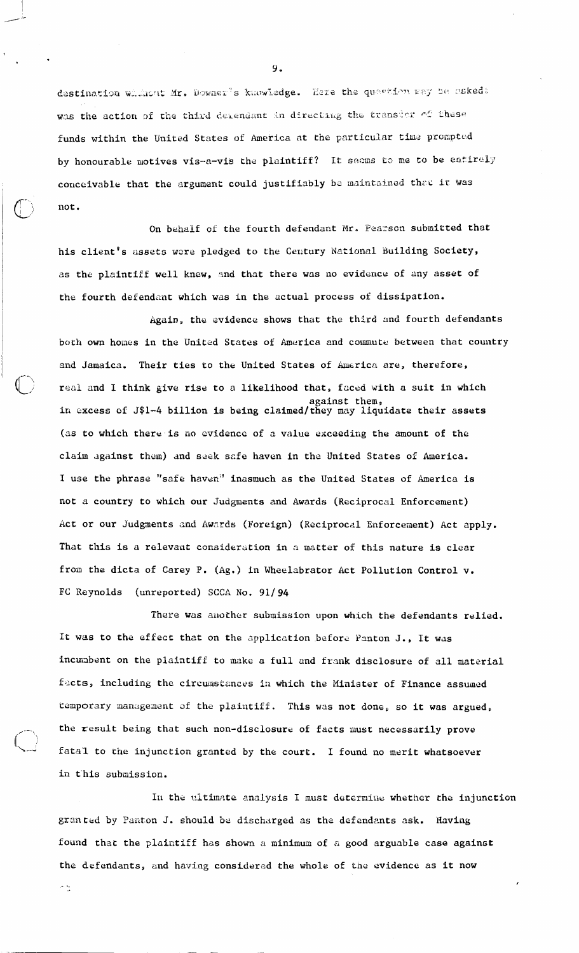destination whilert Mr. Downer's knowledge. Here the quastion way be asked: was the action of the third detendant in directing the transier of these funds within the United States of America at the particular time prompted by honourable motives vis-a-vis the plaintiff? It seems to me to be entirely conceivable that the argument could justifiably be maintained that it was not.

On behalf of the fourth defendant Mr. Pearson submitted that his client's assets were pledged to the Century National Building Society, as the plaintiff well knew, and that there was no evidence of any asset of the fourth defendant which was in the actual process of dissipation.

Again, the evidence shows that the third and fourth defendants both own homes in the United States of America and commute between that country and Jamaica. Their ties to the United States of America are, therefore, real and I think give rise to a likelihood that, faced with a suit in which against them,<br>in excess of J\$1-4 billion is being claimed/they may liquidate their assets (as to which there is no evidence of a value exceeding the amount of the claim against them) and seek safe haven in the United States of America. I use the phrase "safe haven" inasmuch as the United States of America is not a country to which our Judgments and Awards (Reciprocal Enforcement) Act or our Judgments and Awards (Foreign) (Reciprocal Enforcement) Act apply. That this is a relevant consideration in a matter of this nature is clear from the dicta of Carey P. (Ag.) in Wheelabrator Act Pollution Control v. FC Reynolds (unreported) SCCA No. 91/94

There was another submission upon which the defendants relied. It was to the effect that on the application before Panton J., It was incumbent on the plaintiff to make a full and frank disclosure of all material facts, including the circumstances in which the Minister of Finance assumed temporary management of the plaintiff. This was not done, so it was argued, the result being that such non-disclosure of facts must necessarily prove fatal to the injunction granted by the court. I found no merit whatsoever in this submission.

In the ultimate analysis I must determine whether the injunction granted by Panton J. should be discharged as the defendants ask. Having found that the plaintiff has shown a minimum of a good arguable case against the defendants, and having considered the whole of the evidence as it now

يه لم